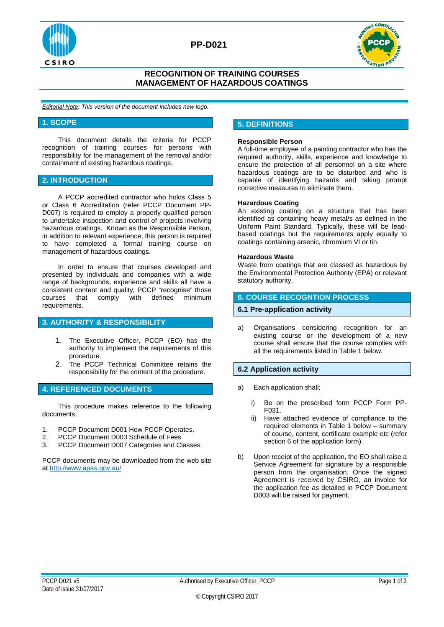



## **RECOGNITION OF TRAINING COURSES MANAGEMENT OF HAZARDOUS COATINGS**

*Editorial Note: This version of the document includes new logo.*

#### **1. SCOPE**

This document details the criteria for PCCP recognition of training courses for persons with responsibility for the management of the removal and/or containment of existing hazardous coatings.

### **2. INTRODUCTION**

A PCCP accredited contractor who holds Class 5 or Class 6 Accreditation (refer PCCP Document PP-D007) is required to employ a properly qualified person to undertake inspection and control of projects involving hazardous coatings. Known as the Responsible Person, in addition to relevant experience, this person is required to have completed a formal training course on management of hazardous coatings.

In order to ensure that courses developed and presented by individuals and companies with a wide range of backgrounds, experience and skills all have a consistent content and quality, PCCP "recognise" those<br>courses that comply with defined minimum with defined requirements.

## **3. AUTHORITY & RESPONSIBILITY**

- 1. The Executive Officer, PCCP (EO) has the authority to implement the requirements of this procedure.
- 2. The PCCP Technical Committee retains the responsibility for the content of the procedure.

#### **4. REFERENCED DOCUMENTS**

This procedure makes reference to the following documents;

- 1. PCCP Document D001 How PCCP Operates.<br>2. PCCP Document D003 Schedule of Fees
- PCCP Document D003 Schedule of Fees
- 3. PCCP Document D007 Categories and Classes.

PCCP documents may be downloaded from the web site a[t http://www.apas.gov.au/](http://www.apas.gov.au/)

## **5. DEFINITIONS**

#### **Responsible Person**

A full-time employee of a painting contractor who has the required authority, skills, experience and knowledge to ensure the protection of all personnel on a site where hazardous coatings are to be disturbed and who is capable of identifying hazards and taking prompt corrective measures to eliminate them.

#### **Hazardous Coating**

An existing coating on a structure that has been identified as containing heavy metal/s as defined in the Uniform Paint Standard. Typically, these will be leadbased coatings but the requirements apply equally to coatings containing arsenic, chromium VI or tin.

#### **Hazardous Waste**

Waste from coatings that are classed as hazardous by the Environmental Protection Authority (EPA) or relevant statutory authority.

## **6. COURSE RECOGNTION PROCESS**

#### **6.1 Pre-application activity**

a) Organisations considering recognition for an existing course or the development of a new course shall ensure that the course complies with all the requirements listed in Table 1 below.

## **6.2 Application activity**

- a) Each application shall;
	- i) Be on the prescribed form PCCP Form PP-F031.
	- ii) Have attached evidence of compliance to the required elements in Table 1 below – summary of course, content, certificate example etc (refer section 6 of the application form).
- b) Upon receipt of the application, the EO shall raise a Service Agreement for signature by a responsible person from the organisation. Once the signed Agreement is received by CSIRO, an invoice for the application fee as detailed in PCCP Document D003 will be raised for payment.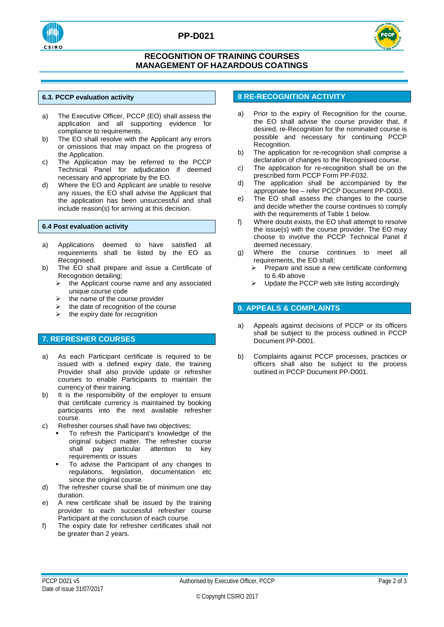



## **RECOGNITION OF TRAINING COURSES MANAGEMENT OF HAZARDOUS COATINGS**

#### **6.3. PCCP evaluation activity**

- a) The Executive Officer, PCCP (EO) shall assess the application and all supporting evidence for compliance to requirements.
- b) The EO shall resolve with the Applicant any errors or omissions that may impact on the progress of the Application.
- c) The Application may be referred to the PCCP Technical Panel for adjudication if deemed necessary and appropriate by the EO.
- d) Where the EO and Applicant are unable to resolve any issues, the EO shall advise the Applicant that the application has been unsuccessful and shall include reason(s) for arriving at this decision.

#### **6.4 Post evaluation activity**

- a) Applications deemed to have satisfied all requirements shall be listed by the EO as Recognised.
- b) The EO shall prepare and issue a Certificate of Recognition detailing;
	- $\triangleright$  the Applicant course name and any associated unique course code
	- the name of the course provider
	- $\triangleright$  the date of recognition of the course<br>  $\triangleright$  the expiry date for recognition
	- the expiry date for recognition

## **7. REFRESHER COURSES**

- a) As each Participant certificate is required to be issued with a defined expiry date, the training Provider shall also provide update or refresher courses to enable Participants to maintain the currency of their training.
- b) It is the responsibility of the employer to ensure that certificate currency is maintained by booking participants into the next available refresher course.
- c) Refresher courses shall have two objectives;
	- To refresh the Participant's knowledge of the original subject matter. The refresher course shall pay particular attention to key requirements or issues
	- To advise the Participant of any changes to regulations, legislation, documentation etc since the original course.
- d) The refresher course shall be of minimum one day duration.
- e) A new certificate shall be issued by the training provider to each successful refresher course Participant at the conclusion of each course.
- f) The expiry date for refresher certificates shall not be greater than 2 years.

# **8 RE-RECOGNITION ACTIVITY**

- a) Prior to the expiry of Recognition for the course, the EO shall advise the course provider that, if desired, re-Recognition for the nominated course is possible and necessary for continuing PCCP Recognition.
- b) The application for re-recognition shall comprise a declaration of changes to the Recognised course.
- c) The application for re-recognition shall be on the prescribed form PCCP Form PP-F032.
- d) The application shall be accompanied by the appropriate fee – refer PCCP Document PP-D003.
- e) The EO shall assess the changes to the course and decide whether the course continues to comply with the requirements of Table 1 below.
- f) Where doubt exists, the EO shall attempt to resolve the issue(s) with the course provider. The EO may choose to involve the PCCP Technical Panel if deemed necessary.
- g) Where the course continues to meet all requirements, the EO shall;<br>> Prepare and issue a per-
	- Prepare and issue a new certificate conforming to 6.4b above
	- $\triangleright$  Update the PCCP web site listing accordingly

#### **9. APPEALS & COMPLAINTS**

- a) Appeals against decisions of PCCP or its officers shall be subject to the process outlined in PCCP Document PP-D001.
- b) Complaints against PCCP processes, practices or officers shall also be subject to the process outlined in PCCP Document PP-D001.